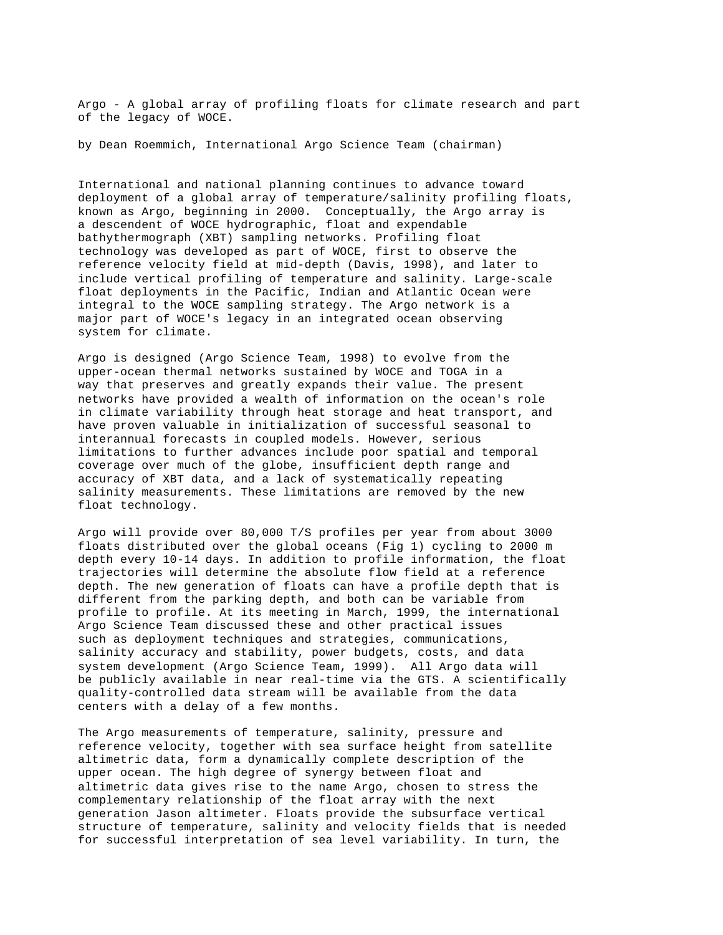Argo - A global array of profiling floats for climate research and part of the legacy of WOCE.

by Dean Roemmich, International Argo Science Team (chairman)

International and national planning continues to advance toward deployment of a global array of temperature/salinity profiling floats, known as Argo, beginning in 2000. Conceptually, the Argo array is a descendent of WOCE hydrographic, float and expendable bathythermograph (XBT) sampling networks. Profiling float technology was developed as part of WOCE, first to observe the reference velocity field at mid-depth (Davis, 1998), and later to include vertical profiling of temperature and salinity. Large-scale float deployments in the Pacific, Indian and Atlantic Ocean were integral to the WOCE sampling strategy. The Argo network is a major part of WOCE's legacy in an integrated ocean observing system for climate.

Argo is designed (Argo Science Team, 1998) to evolve from the upper-ocean thermal networks sustained by WOCE and TOGA in a way that preserves and greatly expands their value. The present networks have provided a wealth of information on the ocean's role in climate variability through heat storage and heat transport, and have proven valuable in initialization of successful seasonal to interannual forecasts in coupled models. However, serious limitations to further advances include poor spatial and temporal coverage over much of the globe, insufficient depth range and accuracy of XBT data, and a lack of systematically repeating salinity measurements. These limitations are removed by the new float technology.

Argo will provide over 80,000 T/S profiles per year from about 3000 floats distributed over the global oceans (Fig 1) cycling to 2000 m depth every 10-14 days. In addition to profile information, the float trajectories will determine the absolute flow field at a reference depth. The new generation of floats can have a profile depth that is different from the parking depth, and both can be variable from profile to profile. At its meeting in March, 1999, the international Argo Science Team discussed these and other practical issues such as deployment techniques and strategies, communications, salinity accuracy and stability, power budgets, costs, and data system development (Argo Science Team, 1999). All Argo data will be publicly available in near real-time via the GTS. A scientifically quality-controlled data stream will be available from the data centers with a delay of a few months.

The Argo measurements of temperature, salinity, pressure and reference velocity, together with sea surface height from satellite altimetric data, form a dynamically complete description of the upper ocean. The high degree of synergy between float and altimetric data gives rise to the name Argo, chosen to stress the complementary relationship of the float array with the next generation Jason altimeter. Floats provide the subsurface vertical structure of temperature, salinity and velocity fields that is needed for successful interpretation of sea level variability. In turn, the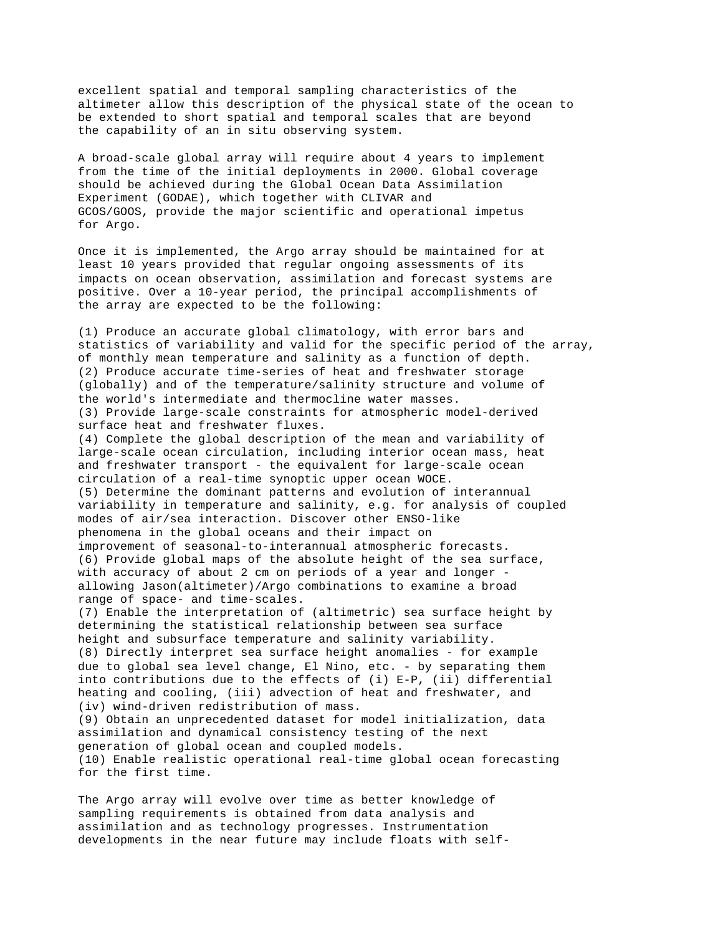excellent spatial and temporal sampling characteristics of the altimeter allow this description of the physical state of the ocean to be extended to short spatial and temporal scales that are beyond the capability of an in situ observing system.

A broad-scale global array will require about 4 years to implement from the time of the initial deployments in 2000. Global coverage should be achieved during the Global Ocean Data Assimilation Experiment (GODAE), which together with CLIVAR and GCOS/GOOS, provide the major scientific and operational impetus for Argo.

Once it is implemented, the Argo array should be maintained for at least 10 years provided that regular ongoing assessments of its impacts on ocean observation, assimilation and forecast systems are positive. Over a 10-year period, the principal accomplishments of the array are expected to be the following:

(1) Produce an accurate global climatology, with error bars and statistics of variability and valid for the specific period of the array, of monthly mean temperature and salinity as a function of depth. (2) Produce accurate time-series of heat and freshwater storage (globally) and of the temperature/salinity structure and volume of the world's intermediate and thermocline water masses. (3) Provide large-scale constraints for atmospheric model-derived surface heat and freshwater fluxes. (4) Complete the global description of the mean and variability of large-scale ocean circulation, including interior ocean mass, heat and freshwater transport - the equivalent for large-scale ocean circulation of a real-time synoptic upper ocean WOCE. (5) Determine the dominant patterns and evolution of interannual variability in temperature and salinity, e.g. for analysis of coupled modes of air/sea interaction. Discover other ENSO-like phenomena in the global oceans and their impact on improvement of seasonal-to-interannual atmospheric forecasts. (6) Provide global maps of the absolute height of the sea surface, with accuracy of about 2 cm on periods of a year and longer allowing Jason(altimeter)/Argo combinations to examine a broad range of space- and time-scales. (7) Enable the interpretation of (altimetric) sea surface height by determining the statistical relationship between sea surface height and subsurface temperature and salinity variability. (8) Directly interpret sea surface height anomalies - for example due to global sea level change, El Nino, etc. - by separating them into contributions due to the effects of (i) E-P, (ii) differential heating and cooling, (iii) advection of heat and freshwater, and (iv) wind-driven redistribution of mass. (9) Obtain an unprecedented dataset for model initialization, data assimilation and dynamical consistency testing of the next generation of global ocean and coupled models. (10) Enable realistic operational real-time global ocean forecasting for the first time.

The Argo array will evolve over time as better knowledge of sampling requirements is obtained from data analysis and assimilation and as technology progresses. Instrumentation developments in the near future may include floats with self